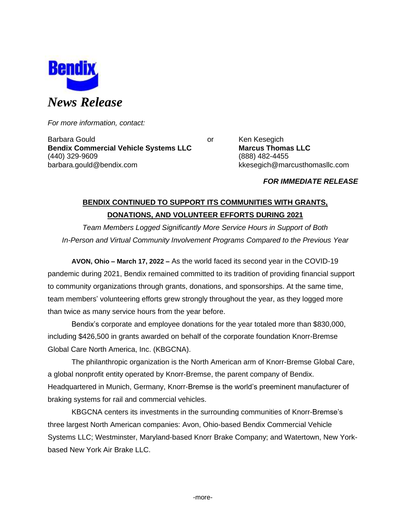

*For more information, contact:*

Barbara Gould **Communist Communist Communist Communist Communist Communist Communist Communist Communist Communist Communist Communist Communist Communist Communist Communist Communist Communist Communist Communist Communi Bendix Commercial Vehicle Systems LLC Marcus Thomas LLC** (440) 329-9609 (888) 482-4455 barbara.gould@bendix.com kkesegich@marcusthomasllc.com

*FOR IMMEDIATE RELEASE*

# **BENDIX CONTINUED TO SUPPORT ITS COMMUNITIES WITH GRANTS, DONATIONS, AND VOLUNTEER EFFORTS DURING 2021**

*Team Members Logged Significantly More Service Hours in Support of Both In-Person and Virtual Community Involvement Programs Compared to the Previous Year*

**AVON, Ohio – March 17, 2022 –** As the world faced its second year in the COVID-19 pandemic during 2021, Bendix remained committed to its tradition of providing financial support to community organizations through grants, donations, and sponsorships. At the same time, team members' volunteering efforts grew strongly throughout the year, as they logged more than twice as many service hours from the year before.

Bendix's corporate and employee donations for the year totaled more than \$830,000, including \$426,500 in grants awarded on behalf of the corporate foundation Knorr-Bremse Global Care North America, Inc. (KBGCNA).

The philanthropic organization is the North American arm of Knorr-Bremse Global Care, a global nonprofit entity operated by Knorr-Bremse, the parent company of Bendix. Headquartered in Munich, Germany, Knorr-Bremse is the world's preeminent manufacturer of braking systems for rail and commercial vehicles.

KBGCNA centers its investments in the surrounding communities of Knorr-Bremse's three largest North American companies: Avon, Ohio-based Bendix Commercial Vehicle Systems LLC; Westminster, Maryland-based Knorr Brake Company; and Watertown, New Yorkbased New York Air Brake LLC.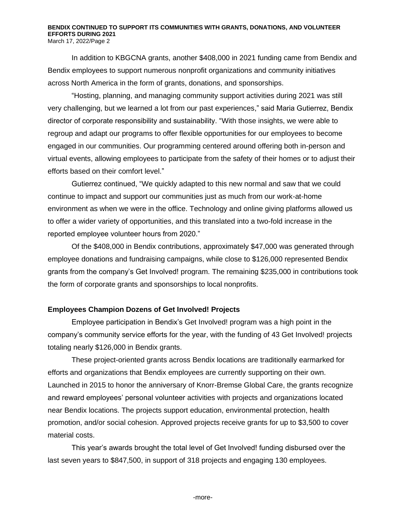# **BENDIX CONTINUED TO SUPPORT ITS COMMUNITIES WITH GRANTS, DONATIONS, AND VOLUNTEER EFFORTS DURING 2021**

March 17, 2022/Page 2

In addition to KBGCNA grants, another \$408,000 in 2021 funding came from Bendix and Bendix employees to support numerous nonprofit organizations and community initiatives across North America in the form of grants, donations, and sponsorships.

"Hosting, planning, and managing community support activities during 2021 was still very challenging, but we learned a lot from our past experiences," said Maria Gutierrez, Bendix director of corporate responsibility and sustainability. "With those insights, we were able to regroup and adapt our programs to offer flexible opportunities for our employees to become engaged in our communities. Our programming centered around offering both in-person and virtual events, allowing employees to participate from the safety of their homes or to adjust their efforts based on their comfort level."

Gutierrez continued, "We quickly adapted to this new normal and saw that we could continue to impact and support our communities just as much from our work-at-home environment as when we were in the office. Technology and online giving platforms allowed us to offer a wider variety of opportunities, and this translated into a two-fold increase in the reported employee volunteer hours from 2020."

Of the \$408,000 in Bendix contributions, approximately \$47,000 was generated through employee donations and fundraising campaigns, while close to \$126,000 represented Bendix grants from the company's Get Involved! program. The remaining \$235,000 in contributions took the form of corporate grants and sponsorships to local nonprofits.

## **Employees Champion Dozens of Get Involved! Projects**

Employee participation in Bendix's Get Involved! program was a high point in the company's community service efforts for the year, with the funding of 43 Get Involved! projects totaling nearly \$126,000 in Bendix grants.

These project-oriented grants across Bendix locations are traditionally earmarked for efforts and organizations that Bendix employees are currently supporting on their own. Launched in 2015 to honor the anniversary of Knorr-Bremse Global Care, the grants recognize and reward employees' personal volunteer activities with projects and organizations located near Bendix locations. The projects support education, environmental protection, health promotion, and/or social cohesion. Approved projects receive grants for up to \$3,500 to cover material costs.

This year's awards brought the total level of Get Involved! funding disbursed over the last seven years to \$847,500, in support of 318 projects and engaging 130 employees.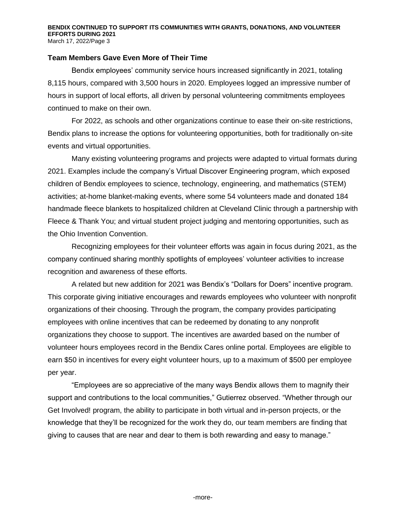#### **BENDIX CONTINUED TO SUPPORT ITS COMMUNITIES WITH GRANTS, DONATIONS, AND VOLUNTEER EFFORTS DURING 2021** March 17, 2022/Page 3

**Team Members Gave Even More of Their Time**

Bendix employees' community service hours increased significantly in 2021, totaling 8,115 hours, compared with 3,500 hours in 2020. Employees logged an impressive number of hours in support of local efforts, all driven by personal volunteering commitments employees continued to make on their own.

For 2022, as schools and other organizations continue to ease their on-site restrictions, Bendix plans to increase the options for volunteering opportunities, both for traditionally on-site events and virtual opportunities.

Many existing volunteering programs and projects were adapted to virtual formats during 2021. Examples include the company's Virtual Discover Engineering program, which exposed children of Bendix employees to science, technology, engineering, and mathematics (STEM) activities; at-home blanket-making events, where some 54 volunteers made and donated 184 handmade fleece blankets to hospitalized children at Cleveland Clinic through a partnership with Fleece & Thank You; and virtual student project judging and mentoring opportunities, such as the Ohio Invention Convention.

Recognizing employees for their volunteer efforts was again in focus during 2021, as the company continued sharing monthly spotlights of employees' volunteer activities to increase recognition and awareness of these efforts.

A related but new addition for 2021 was Bendix's "Dollars for Doers" incentive program. This corporate giving initiative encourages and rewards employees who volunteer with nonprofit organizations of their choosing. Through the program, the company provides participating employees with online incentives that can be redeemed by donating to any nonprofit organizations they choose to support. The incentives are awarded based on the number of volunteer hours employees record in the Bendix Cares online portal. Employees are eligible to earn \$50 in incentives for every eight volunteer hours, up to a maximum of \$500 per employee per year.

"Employees are so appreciative of the many ways Bendix allows them to magnify their support and contributions to the local communities," Gutierrez observed. "Whether through our Get Involved! program, the ability to participate in both virtual and in-person projects, or the knowledge that they'll be recognized for the work they do, our team members are finding that giving to causes that are near and dear to them is both rewarding and easy to manage."